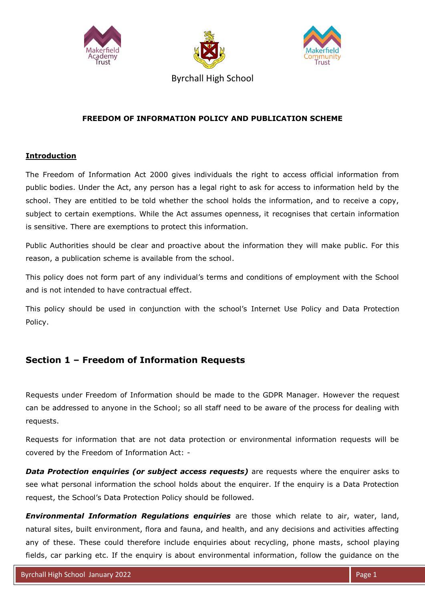





Byrchall High School

### **FREEDOM OF INFORMATION POLICY AND PUBLICATION SCHEME**

### **Introduction**

The Freedom of Information Act 2000 gives individuals the right to access official information from public bodies. Under the Act, any person has a legal right to ask for access to information held by the school. They are entitled to be told whether the school holds the information, and to receive a copy, subject to certain exemptions. While the Act assumes openness, it recognises that certain information is sensitive. There are exemptions to protect this information.

Public Authorities should be clear and proactive about the information they will make public. For this reason, a publication scheme is available from the school.

This policy does not form part of any individual's terms and conditions of employment with the School and is not intended to have contractual effect.

This policy should be used in conjunction with the school's Internet Use Policy and Data Protection Policy.

# **Section 1 – Freedom of Information Requests**

Requests under Freedom of Information should be made to the GDPR Manager. However the request can be addressed to anyone in the School; so all staff need to be aware of the process for dealing with requests.

Requests for information that are not data protection or environmental information requests will be covered by the Freedom of Information Act: -

**Data Protection enquiries (or subject access requests)** are requests where the enquirer asks to see what personal information the school holds about the enquirer. If the enquiry is a Data Protection request, the School's Data Protection Policy should be followed.

*Environmental Information Regulations enquiries* are those which relate to air, water, land, natural sites, built environment, flora and fauna, and health, and any decisions and activities affecting any of these. These could therefore include enquiries about recycling, phone masts, school playing fields, car parking etc. If the enquiry is about environmental information, follow the guidance on the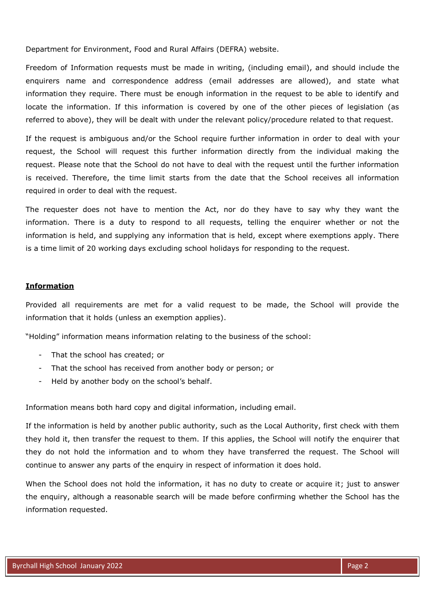Department for Environment, Food and Rural Affairs (DEFRA) website.

Freedom of Information requests must be made in writing, (including email), and should include the enquirers name and correspondence address (email addresses are allowed), and state what information they require. There must be enough information in the request to be able to identify and locate the information. If this information is covered by one of the other pieces of legislation (as referred to above), they will be dealt with under the relevant policy/procedure related to that request.

If the request is ambiguous and/or the School require further information in order to deal with your request, the School will request this further information directly from the individual making the request. Please note that the School do not have to deal with the request until the further information is received. Therefore, the time limit starts from the date that the School receives all information required in order to deal with the request.

The requester does not have to mention the Act, nor do they have to say why they want the information. There is a duty to respond to all requests, telling the enquirer whether or not the information is held, and supplying any information that is held, except where exemptions apply. There is a time limit of 20 working days excluding school holidays for responding to the request.

#### **Information**

Provided all requirements are met for a valid request to be made, the School will provide the information that it holds (unless an exemption applies).

"Holding" information means information relating to the business of the school:

- That the school has created; or
- That the school has received from another body or person; or
- Held by another body on the school's behalf.

Information means both hard copy and digital information, including email.

If the information is held by another public authority, such as the Local Authority, first check with them they hold it, then transfer the request to them. If this applies, the School will notify the enquirer that they do not hold the information and to whom they have transferred the request. The School will continue to answer any parts of the enquiry in respect of information it does hold.

When the School does not hold the information, it has no duty to create or acquire it; just to answer the enquiry, although a reasonable search will be made before confirming whether the School has the information requested.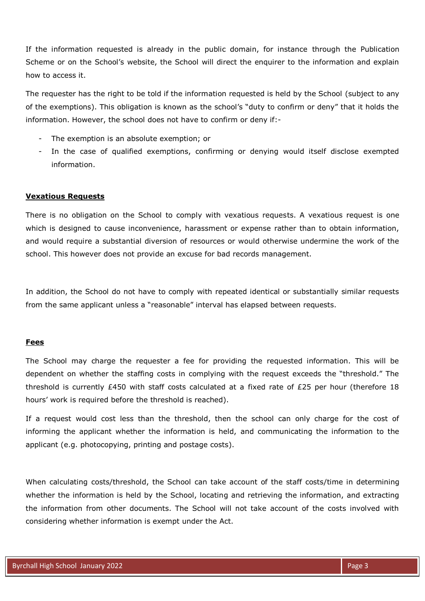If the information requested is already in the public domain, for instance through the Publication Scheme or on the School's website, the School will direct the enquirer to the information and explain how to access it.

The requester has the right to be told if the information requested is held by the School (subject to any of the exemptions). This obligation is known as the school's "duty to confirm or deny" that it holds the information. However, the school does not have to confirm or deny if:-

- The exemption is an absolute exemption; or
- In the case of qualified exemptions, confirming or denying would itself disclose exempted information.

#### **Vexatious Requests**

There is no obligation on the School to comply with vexatious requests. A vexatious request is one which is designed to cause inconvenience, harassment or expense rather than to obtain information, and would require a substantial diversion of resources or would otherwise undermine the work of the school. This however does not provide an excuse for bad records management.

In addition, the School do not have to comply with repeated identical or substantially similar requests from the same applicant unless a "reasonable" interval has elapsed between requests.

#### **Fees**

The School may charge the requester a fee for providing the requested information. This will be dependent on whether the staffing costs in complying with the request exceeds the "threshold." The threshold is currently £450 with staff costs calculated at a fixed rate of £25 per hour (therefore 18 hours' work is required before the threshold is reached).

If a request would cost less than the threshold, then the school can only charge for the cost of informing the applicant whether the information is held, and communicating the information to the applicant (e.g. photocopying, printing and postage costs).

When calculating costs/threshold, the School can take account of the staff costs/time in determining whether the information is held by the School, locating and retrieving the information, and extracting the information from other documents. The School will not take account of the costs involved with considering whether information is exempt under the Act.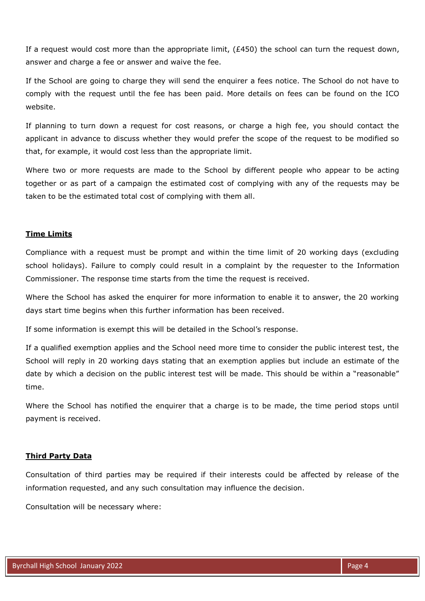If a request would cost more than the appropriate limit, (£450) the school can turn the request down, answer and charge a fee or answer and waive the fee.

If the School are going to charge they will send the enquirer a fees notice. The School do not have to comply with the request until the fee has been paid. More details on fees can be found on the ICO website.

If planning to turn down a request for cost reasons, or charge a high fee, you should contact the applicant in advance to discuss whether they would prefer the scope of the request to be modified so that, for example, it would cost less than the appropriate limit.

Where two or more requests are made to the School by different people who appear to be acting together or as part of a campaign the estimated cost of complying with any of the requests may be taken to be the estimated total cost of complying with them all.

#### **Time Limits**

Compliance with a request must be prompt and within the time limit of 20 working days (excluding school holidays). Failure to comply could result in a complaint by the requester to the Information Commissioner. The response time starts from the time the request is received.

Where the School has asked the enquirer for more information to enable it to answer, the 20 working days start time begins when this further information has been received.

If some information is exempt this will be detailed in the School's response.

If a qualified exemption applies and the School need more time to consider the public interest test, the School will reply in 20 working days stating that an exemption applies but include an estimate of the date by which a decision on the public interest test will be made. This should be within a "reasonable" time.

Where the School has notified the enquirer that a charge is to be made, the time period stops until payment is received.

#### **Third Party Data**

Consultation of third parties may be required if their interests could be affected by release of the information requested, and any such consultation may influence the decision.

Consultation will be necessary where: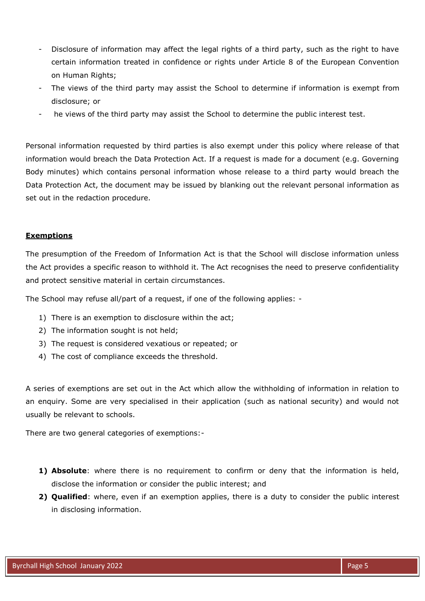- Disclosure of information may affect the legal rights of a third party, such as the right to have certain information treated in confidence or rights under Article 8 of the European Convention on Human Rights;
- The views of the third party may assist the School to determine if information is exempt from disclosure; or
- he views of the third party may assist the School to determine the public interest test.

Personal information requested by third parties is also exempt under this policy where release of that information would breach the Data Protection Act. If a request is made for a document (e.g. Governing Body minutes) which contains personal information whose release to a third party would breach the Data Protection Act, the document may be issued by blanking out the relevant personal information as set out in the redaction procedure.

### **Exemptions**

The presumption of the Freedom of Information Act is that the School will disclose information unless the Act provides a specific reason to withhold it. The Act recognises the need to preserve confidentiality and protect sensitive material in certain circumstances.

The School may refuse all/part of a request, if one of the following applies: -

- 1) There is an exemption to disclosure within the act;
- 2) The information sought is not held;
- 3) The request is considered vexatious or repeated; or
- 4) The cost of compliance exceeds the threshold.

A series of exemptions are set out in the Act which allow the withholding of information in relation to an enquiry. Some are very specialised in their application (such as national security) and would not usually be relevant to schools.

There are two general categories of exemptions:-

- **1) Absolute**: where there is no requirement to confirm or deny that the information is held, disclose the information or consider the public interest; and
- **2) Qualified**: where, even if an exemption applies, there is a duty to consider the public interest in disclosing information.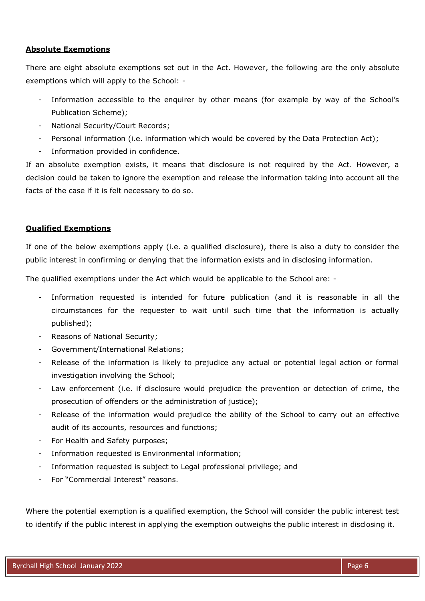### **Absolute Exemptions**

There are eight absolute exemptions set out in the Act. However, the following are the only absolute exemptions which will apply to the School: -

- Information accessible to the enquirer by other means (for example by way of the School's Publication Scheme);
- National Security/Court Records;
- Personal information (i.e. information which would be covered by the Data Protection Act);
- Information provided in confidence.

If an absolute exemption exists, it means that disclosure is not required by the Act. However, a decision could be taken to ignore the exemption and release the information taking into account all the facts of the case if it is felt necessary to do so.

### **Qualified Exemptions**

If one of the below exemptions apply (i.e. a qualified disclosure), there is also a duty to consider the public interest in confirming or denying that the information exists and in disclosing information.

The qualified exemptions under the Act which would be applicable to the School are: -

- Information requested is intended for future publication (and it is reasonable in all the circumstances for the requester to wait until such time that the information is actually published);
- Reasons of National Security;
- Government/International Relations;
- Release of the information is likely to prejudice any actual or potential legal action or formal investigation involving the School;
- Law enforcement (i.e. if disclosure would prejudice the prevention or detection of crime, the prosecution of offenders or the administration of justice);
- Release of the information would prejudice the ability of the School to carry out an effective audit of its accounts, resources and functions;
- For Health and Safety purposes;
- Information requested is Environmental information;
- Information requested is subject to Legal professional privilege; and
- For "Commercial Interest" reasons.

Where the potential exemption is a qualified exemption, the School will consider the public interest test to identify if the public interest in applying the exemption outweighs the public interest in disclosing it.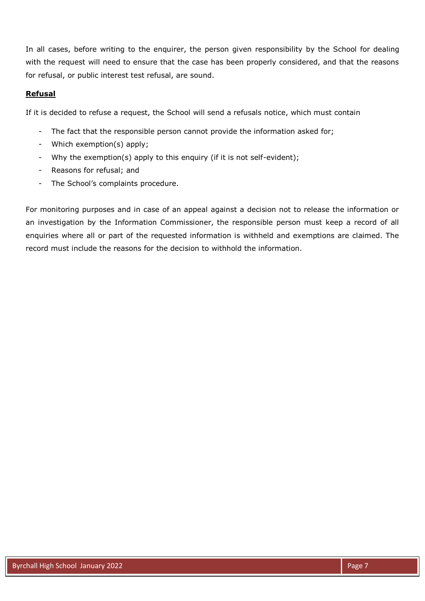In all cases, before writing to the enquirer, the person given responsibility by the School for dealing with the request will need to ensure that the case has been properly considered, and that the reasons for refusal, or public interest test refusal, are sound.

### **Refusal**

If it is decided to refuse a request, the School will send a refusals notice, which must contain

- The fact that the responsible person cannot provide the information asked for;
- Which exemption(s) apply;
- Why the exemption(s) apply to this enquiry (if it is not self-evident);
- Reasons for refusal; and
- The School's complaints procedure.

For monitoring purposes and in case of an appeal against a decision not to release the information or an investigation by the Information Commissioner, the responsible person must keep a record of all enquiries where all or part of the requested information is withheld and exemptions are claimed. The record must include the reasons for the decision to withhold the information.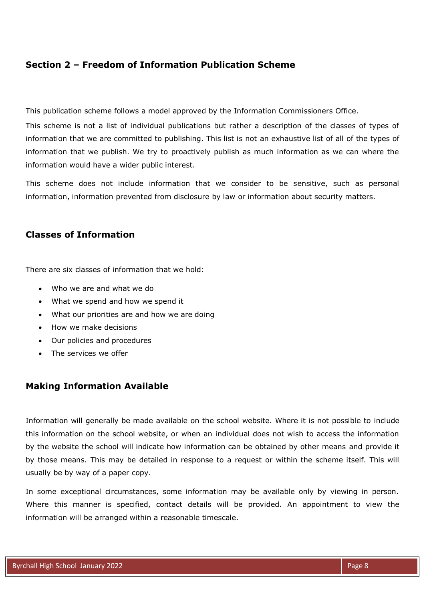# **Section 2 – Freedom of Information Publication Scheme**

This publication scheme follows a model approved by the Information Commissioners Office.

This scheme is not a list of individual publications but rather a description of the classes of types of information that we are committed to publishing. This list is not an exhaustive list of all of the types of information that we publish. We try to proactively publish as much information as we can where the information would have a wider public interest.

This scheme does not include information that we consider to be sensitive, such as personal information, information prevented from disclosure by law or information about security matters.

## **Classes of Information**

There are six classes of information that we hold:

- Who we are and what we do
- What we spend and how we spend it
- What our priorities are and how we are doing
- How we make decisions
- Our policies and procedures
- The services we offer

### **Making Information Available**

Information will generally be made available on the school website. Where it is not possible to include this information on the school website, or when an individual does not wish to access the information by the website the school will indicate how information can be obtained by other means and provide it by those means. This may be detailed in response to a request or within the scheme itself. This will usually be by way of a paper copy.

In some exceptional circumstances, some information may be available only by viewing in person. Where this manner is specified, contact details will be provided. An appointment to view the information will be arranged within a reasonable timescale.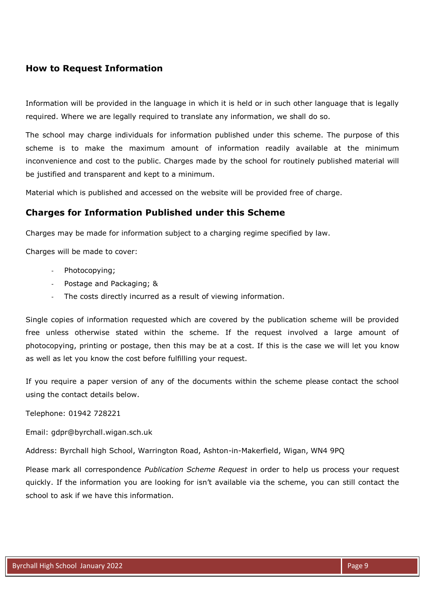# **How to Request Information**

Information will be provided in the language in which it is held or in such other language that is legally required. Where we are legally required to translate any information, we shall do so.

The school may charge individuals for information published under this scheme. The purpose of this scheme is to make the maximum amount of information readily available at the minimum inconvenience and cost to the public. Charges made by the school for routinely published material will be justified and transparent and kept to a minimum.

Material which is published and accessed on the website will be provided free of charge.

### **Charges for Information Published under this Scheme**

Charges may be made for information subject to a charging regime specified by law.

Charges will be made to cover:

- Photocopying;
- Postage and Packaging; &
- The costs directly incurred as a result of viewing information.

Single copies of information requested which are covered by the publication scheme will be provided free unless otherwise stated within the scheme. If the request involved a large amount of photocopying, printing or postage, then this may be at a cost. If this is the case we will let you know as well as let you know the cost before fulfilling your request.

If you require a paper version of any of the documents within the scheme please contact the school using the contact details below.

Telephone: 01942 728221

Email: gdpr@byrchall.wigan.sch.uk

Address: Byrchall high School, Warrington Road, Ashton-in-Makerfield, Wigan, WN4 9PQ

Please mark all correspondence *Publication Scheme Request* in order to help us process your request quickly. If the information you are looking for isn't available via the scheme, you can still contact the school to ask if we have this information.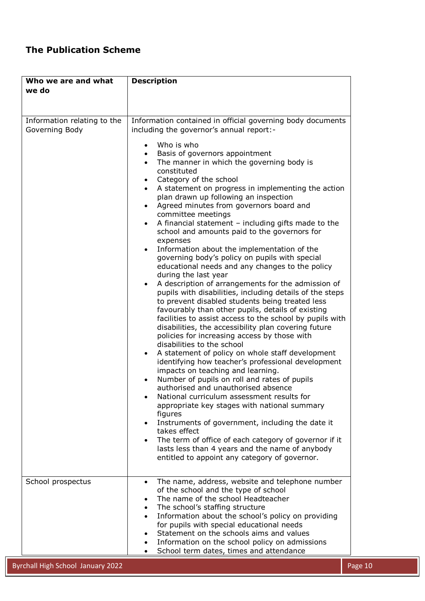# **The Publication Scheme**

| Who we are and what<br>we do                  | <b>Description</b>                                                                                                                                                                                                                                                                                                                                                                                                                                                                                                                                                                                                                                                                                                                                                                                                                                                                                                                                                                                                                                                                                                                                                                                                                                                                                                                                                                                                                                                                                                                                                                                                                                                                                                                                                                                                                                                       |
|-----------------------------------------------|--------------------------------------------------------------------------------------------------------------------------------------------------------------------------------------------------------------------------------------------------------------------------------------------------------------------------------------------------------------------------------------------------------------------------------------------------------------------------------------------------------------------------------------------------------------------------------------------------------------------------------------------------------------------------------------------------------------------------------------------------------------------------------------------------------------------------------------------------------------------------------------------------------------------------------------------------------------------------------------------------------------------------------------------------------------------------------------------------------------------------------------------------------------------------------------------------------------------------------------------------------------------------------------------------------------------------------------------------------------------------------------------------------------------------------------------------------------------------------------------------------------------------------------------------------------------------------------------------------------------------------------------------------------------------------------------------------------------------------------------------------------------------------------------------------------------------------------------------------------------------|
|                                               |                                                                                                                                                                                                                                                                                                                                                                                                                                                                                                                                                                                                                                                                                                                                                                                                                                                                                                                                                                                                                                                                                                                                                                                                                                                                                                                                                                                                                                                                                                                                                                                                                                                                                                                                                                                                                                                                          |
|                                               |                                                                                                                                                                                                                                                                                                                                                                                                                                                                                                                                                                                                                                                                                                                                                                                                                                                                                                                                                                                                                                                                                                                                                                                                                                                                                                                                                                                                                                                                                                                                                                                                                                                                                                                                                                                                                                                                          |
| Information relating to the<br>Governing Body | Information contained in official governing body documents<br>including the governor's annual report:-<br>Who is who<br>$\bullet$<br>Basis of governors appointment<br>$\bullet$<br>The manner in which the governing body is<br>$\bullet$<br>constituted<br>Category of the school<br>$\bullet$<br>A statement on progress in implementing the action<br>$\bullet$<br>plan drawn up following an inspection<br>Agreed minutes from governors board and<br>$\bullet$<br>committee meetings<br>A financial statement $-$ including gifts made to the<br>$\bullet$<br>school and amounts paid to the governors for<br>expenses<br>Information about the implementation of the<br>$\bullet$<br>governing body's policy on pupils with special<br>educational needs and any changes to the policy<br>during the last year<br>A description of arrangements for the admission of<br>pupils with disabilities, including details of the steps<br>to prevent disabled students being treated less<br>favourably than other pupils, details of existing<br>facilities to assist access to the school by pupils with<br>disabilities, the accessibility plan covering future<br>policies for increasing access by those with<br>disabilities to the school<br>A statement of policy on whole staff development<br>identifying how teacher's professional development<br>impacts on teaching and learning.<br>Number of pupils on roll and rates of pupils<br>$\bullet$<br>authorised and unauthorised absence<br>National curriculum assessment results for<br>appropriate key stages with national summary<br>figures<br>Instruments of government, including the date it<br>$\bullet$<br>takes effect<br>The term of office of each category of governor if it<br>$\bullet$<br>lasts less than 4 years and the name of anybody<br>entitled to appoint any category of governor. |
| School prospectus                             | The name, address, website and telephone number<br>$\bullet$<br>of the school and the type of school<br>The name of the school Headteacher<br>The school's staffing structure<br>Information about the school's policy on providing<br>for pupils with special educational needs<br>Statement on the schools aims and values<br>Information on the school policy on admissions<br>School term dates, times and attendance                                                                                                                                                                                                                                                                                                                                                                                                                                                                                                                                                                                                                                                                                                                                                                                                                                                                                                                                                                                                                                                                                                                                                                                                                                                                                                                                                                                                                                                |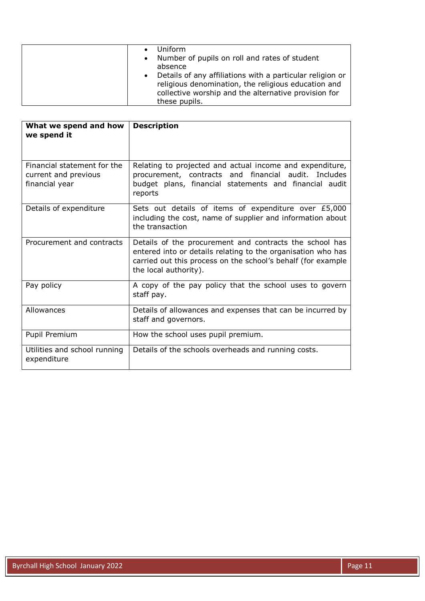| What we spend and how<br>we spend it                                  | <b>Description</b>                                                                                                                                                                                               |
|-----------------------------------------------------------------------|------------------------------------------------------------------------------------------------------------------------------------------------------------------------------------------------------------------|
| Financial statement for the<br>current and previous<br>financial year | Relating to projected and actual income and expenditure,<br>procurement, contracts and financial audit. Includes<br>budget plans, financial statements and financial audit<br>reports                            |
| Details of expenditure                                                | Sets out details of items of expenditure over £5,000<br>including the cost, name of supplier and information about<br>the transaction                                                                            |
| Procurement and contracts                                             | Details of the procurement and contracts the school has<br>entered into or details relating to the organisation who has<br>carried out this process on the school's behalf (for example<br>the local authority). |
| Pay policy                                                            | A copy of the pay policy that the school uses to govern<br>staff pay.                                                                                                                                            |
| Allowances                                                            | Details of allowances and expenses that can be incurred by<br>staff and governors.                                                                                                                               |
| Pupil Premium                                                         | How the school uses pupil premium.                                                                                                                                                                               |
| Utilities and school running<br>expenditure                           | Details of the schools overheads and running costs.                                                                                                                                                              |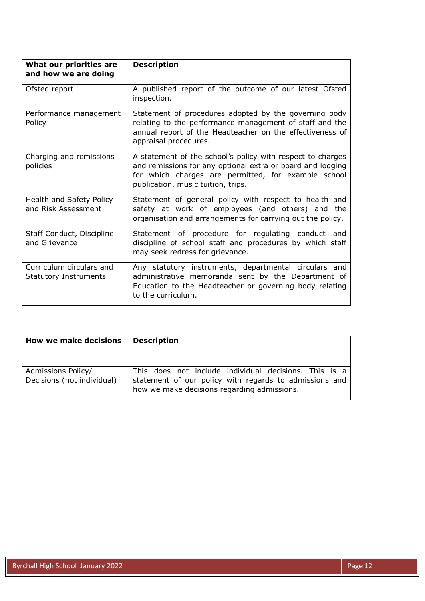| What our priorities are<br>and how we are doing          | <b>Description</b>                                                                                                                                                                                                    |
|----------------------------------------------------------|-----------------------------------------------------------------------------------------------------------------------------------------------------------------------------------------------------------------------|
| Ofsted report                                            | A published report of the outcome of our latest Ofsted<br>inspection.                                                                                                                                                 |
| Performance management<br>Policy                         | Statement of procedures adopted by the governing body<br>relating to the performance management of staff and the<br>annual report of the Headteacher on the effectiveness of<br>appraisal procedures.                 |
| Charging and remissions<br>policies                      | A statement of the school's policy with respect to charges<br>and remissions for any optional extra or board and lodging<br>for which charges are permitted, for example school<br>publication, music tuition, trips. |
| Health and Safety Policy<br>and Risk Assessment          | Statement of general policy with respect to health and<br>safety at work of employees (and others) and the<br>organisation and arrangements for carrying out the policy.                                              |
| Staff Conduct, Discipline<br>and Grievance               | Statement of procedure for regulating conduct and<br>discipline of school staff and procedures by which staff<br>may seek redress for grievance.                                                                      |
| Curriculum circulars and<br><b>Statutory Instruments</b> | Any statutory instruments, departmental circulars and<br>administrative memoranda sent by the Department of<br>Education to the Headteacher or governing body relating<br>to the curriculum.                          |

| <b>How we make decisions</b>                     | <b>Description</b>                                                                                                                                             |
|--------------------------------------------------|----------------------------------------------------------------------------------------------------------------------------------------------------------------|
| Admissions Policy/<br>Decisions (not individual) | This does not include individual decisions. This is a<br>statement of our policy with regards to admissions and<br>how we make decisions regarding admissions. |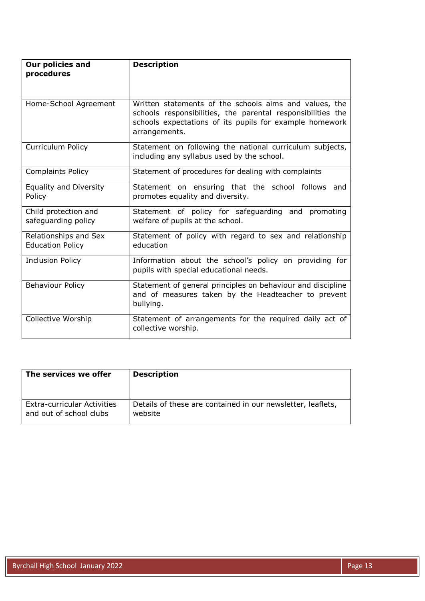| Our policies and<br>procedures                   | <b>Description</b>                                                                                                                                                                                |
|--------------------------------------------------|---------------------------------------------------------------------------------------------------------------------------------------------------------------------------------------------------|
| Home-School Agreement                            | Written statements of the schools aims and values, the<br>schools responsibilities, the parental responsibilities the<br>schools expectations of its pupils for example homework<br>arrangements. |
| Curriculum Policy                                | Statement on following the national curriculum subjects,<br>including any syllabus used by the school.                                                                                            |
| <b>Complaints Policy</b>                         | Statement of procedures for dealing with complaints                                                                                                                                               |
| Equality and Diversity<br>Policy                 | Statement on ensuring that the school follows and<br>promotes equality and diversity.                                                                                                             |
| Child protection and<br>safeguarding policy      | Statement of policy for safeguarding and promoting<br>welfare of pupils at the school.                                                                                                            |
| Relationships and Sex<br><b>Education Policy</b> | Statement of policy with regard to sex and relationship<br>education                                                                                                                              |
| <b>Inclusion Policy</b>                          | Information about the school's policy on providing for<br>pupils with special educational needs.                                                                                                  |
| <b>Behaviour Policy</b>                          | Statement of general principles on behaviour and discipline<br>and of measures taken by the Headteacher to prevent<br>bullying.                                                                   |
| Collective Worship                               | Statement of arrangements for the required daily act of<br>collective worship.                                                                                                                    |

| The services we offer              | <b>Description</b>                                          |
|------------------------------------|-------------------------------------------------------------|
| <b>Extra-curricular Activities</b> | Details of these are contained in our newsletter, leaflets, |
| and out of school clubs            | website                                                     |